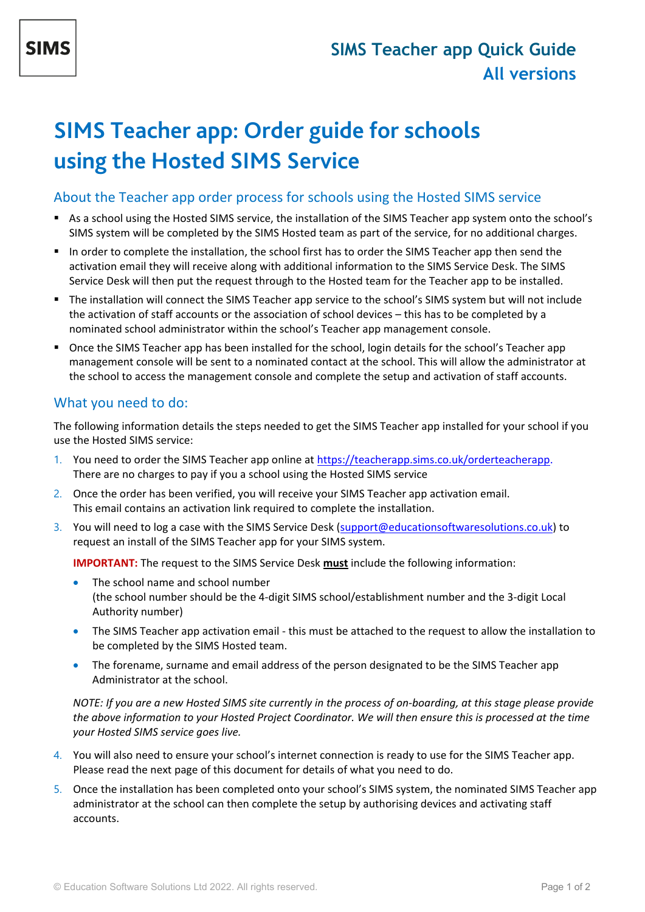# **SIMS Teacher app: Order guide for schools using the Hosted SIMS Service**

## About the Teacher app order process for schools using the Hosted SIMS service

- As a school using the Hosted SIMS service, the installation of the SIMS Teacher app system onto the school's SIMS system will be completed by the SIMS Hosted team as part of the service, for no additional charges.
- In order to complete the installation, the school first has to order the SIMS Teacher app then send the activation email they will receive along with additional information to the SIMS Service Desk. The SIMS Service Desk will then put the request through to the Hosted team for the Teacher app to be installed.
- The installation will connect the SIMS Teacher app service to the school's SIMS system but will not include the activation of staff accounts or the association of school devices – this has to be completed by a nominated school administrator within the school's Teacher app management console.
- Once the SIMS Teacher app has been installed for the school, login details for the school's Teacher app management console will be sent to a nominated contact at the school. This will allow the administrator at the school to access the management console and complete the setup and activation of staff accounts.

## What you need to do:

The following information details the steps needed to get the SIMS Teacher app installed for your school if you use the Hosted SIMS service:

- 1. You need to order the SIMS Teacher app online a[t https://teacherapp.sims.co.uk/orderteacherapp.](https://teacherapp.sims.co.uk/orderteacherapp) There are no charges to pay if you a school using the Hosted SIMS service
- 2. Once the order has been verified, you will receive your SIMS Teacher app activation email. This email contains an activation link required to complete the installation.
- 3. You will need to log a case with the SIMS Service Desk [\(support@educationsoftwaresolutions.co.uk\)](mailto:support@educationsoftwaresolutions.co.uk) to request an install of the SIMS Teacher app for your SIMS system.

**IMPORTANT:** The request to the SIMS Service Desk **must** include the following information:

- The school name and school number (the school number should be the 4-digit SIMS school/establishment number and the 3-digit Local Authority number)
- The SIMS Teacher app activation email this must be attached to the request to allow the installation to be completed by the SIMS Hosted team.
- The forename, surname and email address of the person designated to be the SIMS Teacher app Administrator at the school.

*NOTE: If you are a new Hosted SIMS site currently in the process of on-boarding, at this stage please provide the above information to your Hosted Project Coordinator. We will then ensure this is processed at the time your Hosted SIMS service goes live.*

- 4. You will also need to ensure your school's internet connection is ready to use for the SIMS Teacher app. Please read the next page of this document for details of what you need to do.
- 5. Once the installation has been completed onto your school's SIMS system, the nominated SIMS Teacher app administrator at the school can then complete the setup by authorising devices and activating staff accounts.